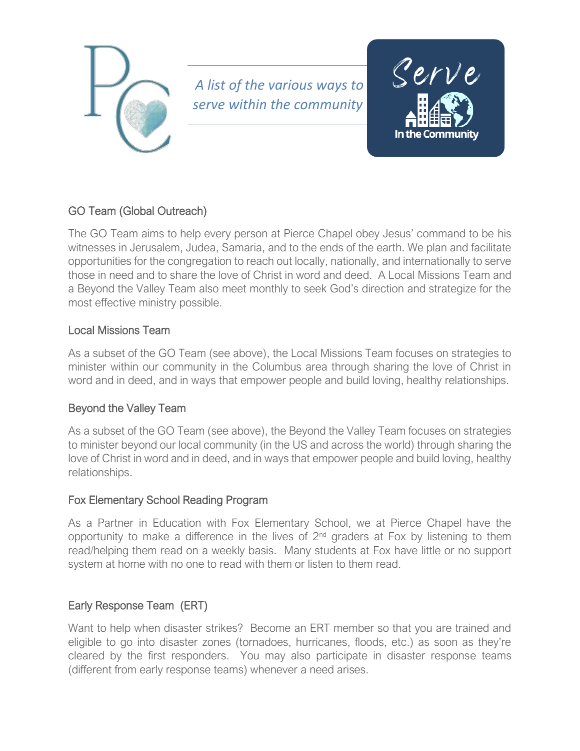

*A list of the various ways to serve within the community*



# GO Team (Global Outreach)

The GO Team aims to help every person at Pierce Chapel obey Jesus' command to be his witnesses in Jerusalem, Judea, Samaria, and to the ends of the earth. We plan and facilitate opportunities for the congregation to reach out locally, nationally, and internationally to serve those in need and to share the love of Christ in word and deed. A Local Missions Team and a Beyond the Valley Team also meet monthly to seek God's direction and strategize for the most effective ministry possible.

### Local Missions Team

As a subset of the GO Team (see above), the Local Missions Team focuses on strategies to minister within our community in the Columbus area through sharing the love of Christ in word and in deed, and in ways that empower people and build loving, healthy relationships.

# Beyond the Valley Team

As a subset of the GO Team (see above), the Beyond the Valley Team focuses on strategies to minister beyond our local community (in the US and across the world) through sharing the love of Christ in word and in deed, and in ways that empower people and build loving, healthy relationships.

### Fox Elementary School Reading Program

As a Partner in Education with Fox Elementary School, we at Pierce Chapel have the opportunity to make a difference in the lives of  $2^{nd}$  graders at Fox by listening to them read/helping them read on a weekly basis. Many students at Fox have little or no support system at home with no one to read with them or listen to them read.

# Early Response Team (ERT)

Want to help when disaster strikes? Become an ERT member so that you are trained and eligible to go into disaster zones (tornadoes, hurricanes, floods, etc.) as soon as they're cleared by the first responders. You may also participate in disaster response teams (different from early response teams) whenever a need arises.